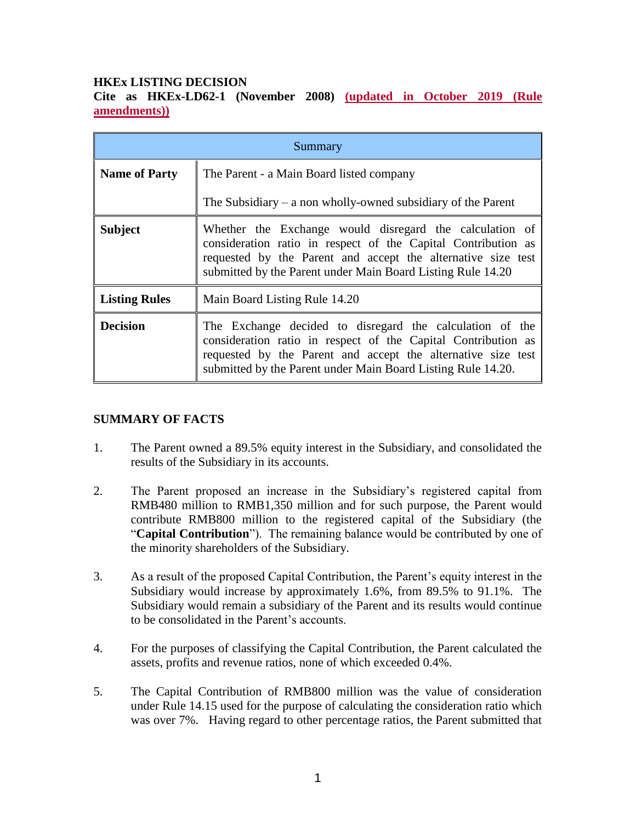# **HKEx LISTING DECISION**

**Cite as HKEx-LD62-1 (November 2008) (updated in October 2019 (Rule amendments))**

| Summary              |                                                                                                                                                                                                                                                           |
|----------------------|-----------------------------------------------------------------------------------------------------------------------------------------------------------------------------------------------------------------------------------------------------------|
| <b>Name of Party</b> | The Parent - a Main Board listed company                                                                                                                                                                                                                  |
|                      | The Subsidiary $-$ a non wholly-owned subsidiary of the Parent                                                                                                                                                                                            |
| <b>Subject</b>       | Whether the Exchange would disregard the calculation of<br>consideration ratio in respect of the Capital Contribution as<br>requested by the Parent and accept the alternative size test<br>submitted by the Parent under Main Board Listing Rule 14.20   |
| <b>Listing Rules</b> | Main Board Listing Rule 14.20                                                                                                                                                                                                                             |
| <b>Decision</b>      | The Exchange decided to disregard the calculation of the<br>consideration ratio in respect of the Capital Contribution as<br>requested by the Parent and accept the alternative size test<br>submitted by the Parent under Main Board Listing Rule 14.20. |

# **SUMMARY OF FACTS**

- 1. The Parent owned a 89.5% equity interest in the Subsidiary, and consolidated the results of the Subsidiary in its accounts.
- 2. The Parent proposed an increase in the Subsidiary's registered capital from RMB480 million to RMB1,350 million and for such purpose, the Parent would contribute RMB800 million to the registered capital of the Subsidiary (the "**Capital Contribution**"). The remaining balance would be contributed by one of the minority shareholders of the Subsidiary.
- 3. As a result of the proposed Capital Contribution, the Parent's equity interest in the Subsidiary would increase by approximately 1.6%, from 89.5% to 91.1%. The Subsidiary would remain a subsidiary of the Parent and its results would continue to be consolidated in the Parent's accounts.
- 4. For the purposes of classifying the Capital Contribution, the Parent calculated the assets, profits and revenue ratios, none of which exceeded 0.4%.
- 5. The Capital Contribution of RMB800 million was the value of consideration under Rule 14.15 used for the purpose of calculating the consideration ratio which was over 7%. Having regard to other percentage ratios, the Parent submitted that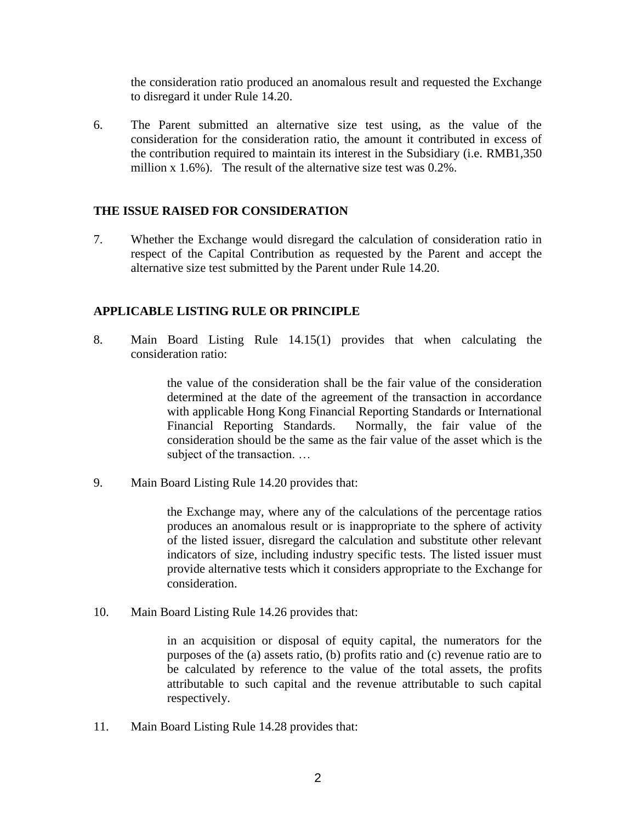the consideration ratio produced an anomalous result and requested the Exchange to disregard it under Rule 14.20.

6. The Parent submitted an alternative size test using, as the value of the consideration for the consideration ratio, the amount it contributed in excess of the contribution required to maintain its interest in the Subsidiary (i.e. RMB1,350 million x 1.6%). The result of the alternative size test was 0.2%.

## **THE ISSUE RAISED FOR CONSIDERATION**

7. Whether the Exchange would disregard the calculation of consideration ratio in respect of the Capital Contribution as requested by the Parent and accept the alternative size test submitted by the Parent under Rule 14.20.

# **APPLICABLE LISTING RULE OR PRINCIPLE**

8. Main Board Listing Rule 14.15(1) provides that when calculating the consideration ratio:

> the value of the consideration shall be the fair value of the consideration determined at the date of the agreement of the transaction in accordance with applicable Hong Kong Financial Reporting Standards or International Financial Reporting Standards. Normally, the fair value of the consideration should be the same as the fair value of the asset which is the subject of the transaction. …

9. Main Board Listing Rule 14.20 provides that:

the Exchange may, where any of the calculations of the percentage ratios produces an anomalous result or is inappropriate to the sphere of activity of the listed issuer, disregard the calculation and substitute other relevant indicators of size, including industry specific tests. The listed issuer must provide alternative tests which it considers appropriate to the Exchange for consideration.

10. Main Board Listing Rule 14.26 provides that:

in an acquisition or disposal of equity capital, the numerators for the purposes of the (a) assets ratio, (b) profits ratio and (c) revenue ratio are to be calculated by reference to the value of the total assets, the profits attributable to such capital and the revenue attributable to such capital respectively.

11. Main Board Listing Rule 14.28 provides that: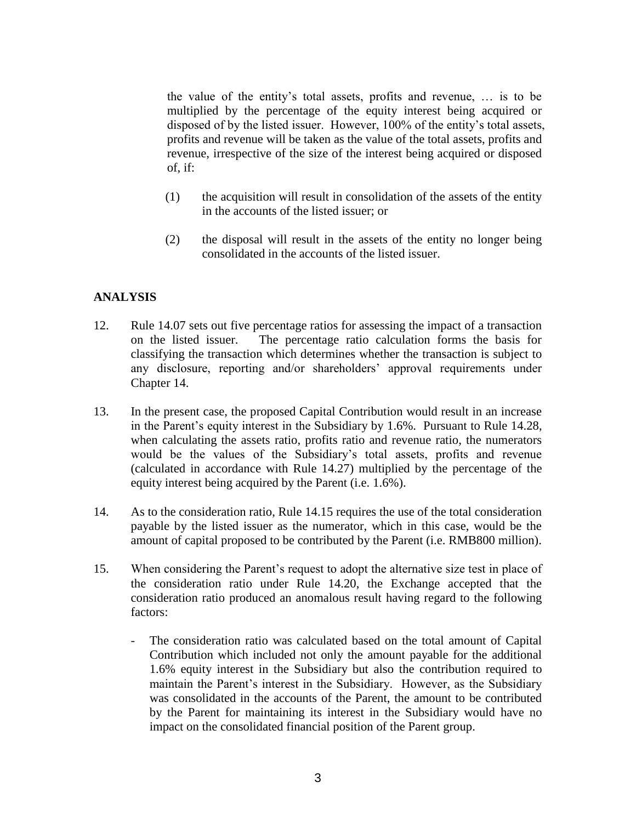the value of the entity's total assets, profits and revenue, … is to be multiplied by the percentage of the equity interest being acquired or disposed of by the listed issuer. However, 100% of the entity's total assets, profits and revenue will be taken as the value of the total assets, profits and revenue, irrespective of the size of the interest being acquired or disposed of, if:

- (1) the acquisition will result in consolidation of the assets of the entity in the accounts of the listed issuer; or
- (2) the disposal will result in the assets of the entity no longer being consolidated in the accounts of the listed issuer.

## **ANALYSIS**

- 12. Rule 14.07 sets out five percentage ratios for assessing the impact of a transaction on the listed issuer. The percentage ratio calculation forms the basis for classifying the transaction which determines whether the transaction is subject to any disclosure, reporting and/or shareholders' approval requirements under Chapter 14.
- 13. In the present case, the proposed Capital Contribution would result in an increase in the Parent's equity interest in the Subsidiary by 1.6%. Pursuant to Rule 14.28, when calculating the assets ratio, profits ratio and revenue ratio, the numerators would be the values of the Subsidiary's total assets, profits and revenue (calculated in accordance with Rule 14.27) multiplied by the percentage of the equity interest being acquired by the Parent (i.e. 1.6%).
- 14. As to the consideration ratio, Rule 14.15 requires the use of the total consideration payable by the listed issuer as the numerator, which in this case, would be the amount of capital proposed to be contributed by the Parent (i.e. RMB800 million).
- 15. When considering the Parent's request to adopt the alternative size test in place of the consideration ratio under Rule 14.20, the Exchange accepted that the consideration ratio produced an anomalous result having regard to the following factors:
	- The consideration ratio was calculated based on the total amount of Capital Contribution which included not only the amount payable for the additional 1.6% equity interest in the Subsidiary but also the contribution required to maintain the Parent's interest in the Subsidiary. However, as the Subsidiary was consolidated in the accounts of the Parent, the amount to be contributed by the Parent for maintaining its interest in the Subsidiary would have no impact on the consolidated financial position of the Parent group.